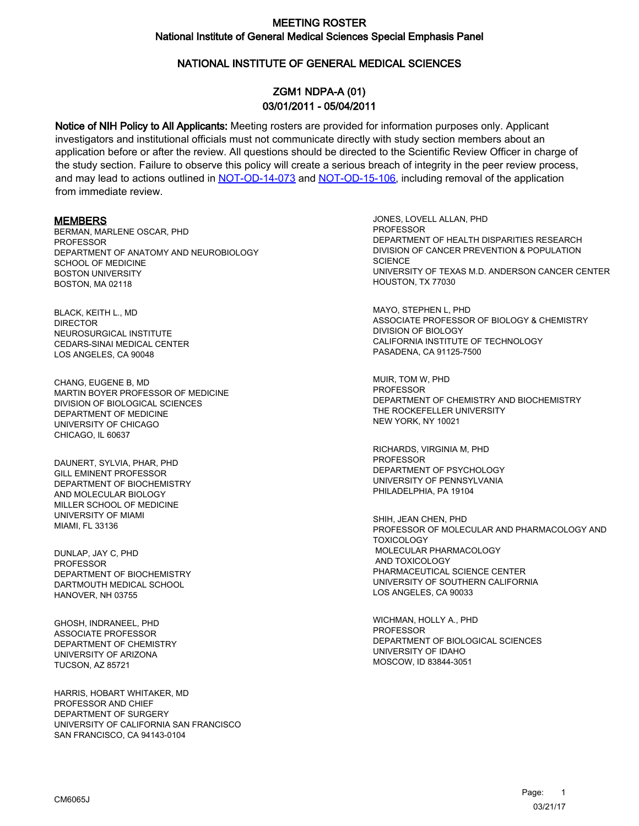### NATIONAL INSTITUTE OF GENERAL MEDICAL SCIENCES

# ZGM1 NDPA-A (01) 03/01/2011 - 05/04/2011

Notice of NIH Policy to All Applicants: Meeting rosters are provided for information purposes only. Applicant investigators and institutional officials must not communicate directly with study section members about an application before or after the review. All questions should be directed to the Scientific Review Officer in charge of the study section. Failure to observe this policy will create a serious breach of integrity in the peer review process, and may lead to actions outlined in [NOT-OD-14-073](https://grants.nih.gov/grants/guide/notice-files/NOT-OD-14-073.html) and [NOT-OD-15-106,](https://grants.nih.gov/grants/guide/notice-files/NOT-OD-15-106.html) including removal of the application from immediate review.

#### MEMBERS

BERMAN, MARLENE OSCAR, PHD PROFESSOR DEPARTMENT OF ANATOMY AND NEUROBIOLOGY SCHOOL OF MEDICINE BOSTON UNIVERSITY BOSTON, MA 02118

BLACK, KEITH L., MD **DIRECTOR** NEUROSURGICAL INSTITUTE CEDARS-SINAI MEDICAL CENTER LOS ANGELES, CA 90048

CHANG, EUGENE B, MD MARTIN BOYER PROFESSOR OF MEDICINE DIVISION OF BIOLOGICAL SCIENCES DEPARTMENT OF MEDICINE UNIVERSITY OF CHICAGO CHICAGO, IL 60637

DAUNERT, SYLVIA, PHAR, PHD GILL EMINENT PROFESSOR DEPARTMENT OF BIOCHEMISTRY AND MOLECULAR BIOLOGY MILLER SCHOOL OF MEDICINE UNIVERSITY OF MIAMI MIAMI, FL 33136

DUNLAP, JAY C, PHD PROFESSOR DEPARTMENT OF BIOCHEMISTRY DARTMOUTH MEDICAL SCHOOL HANOVER, NH 03755

GHOSH, INDRANEEL, PHD ASSOCIATE PROFESSOR DEPARTMENT OF CHEMISTRY UNIVERSITY OF ARIZONA TUCSON, AZ 85721

HARRIS, HOBART WHITAKER, MD PROFESSOR AND CHIEF DEPARTMENT OF SURGERY UNIVERSITY OF CALIFORNIA SAN FRANCISCO SAN FRANCISCO, CA 94143-0104

JONES, LOVELL ALLAN, PHD **PROFESSOR** DEPARTMENT OF HEALTH DISPARITIES RESEARCH DIVISION OF CANCER PREVENTION & POPULATION **SCIENCE** UNIVERSITY OF TEXAS M.D. ANDERSON CANCER CENTER HOUSTON, TX 77030

MAYO, STEPHEN L, PHD ASSOCIATE PROFESSOR OF BIOLOGY & CHEMISTRY DIVISION OF BIOLOGY CALIFORNIA INSTITUTE OF TECHNOLOGY PASADENA, CA 91125-7500

MUIR, TOM W, PHD **PROFESSOR** DEPARTMENT OF CHEMISTRY AND BIOCHEMISTRY THE ROCKEFELLER UNIVERSITY NEW YORK, NY 10021

RICHARDS, VIRGINIA M, PHD PROFESSOR DEPARTMENT OF PSYCHOLOGY UNIVERSITY OF PENNSYLVANIA PHILADELPHIA, PA 19104

SHIH, JEAN CHEN, PHD PROFESSOR OF MOLECULAR AND PHARMACOLOGY AND **TOXICOLOGY**  MOLECULAR PHARMACOLOGY AND TOXICOLOGY PHARMACEUTICAL SCIENCE CENTER UNIVERSITY OF SOUTHERN CALIFORNIA LOS ANGELES, CA 90033

WICHMAN, HOLLY A., PHD PROFESSOR DEPARTMENT OF BIOLOGICAL SCIENCES UNIVERSITY OF IDAHO MOSCOW, ID 83844-3051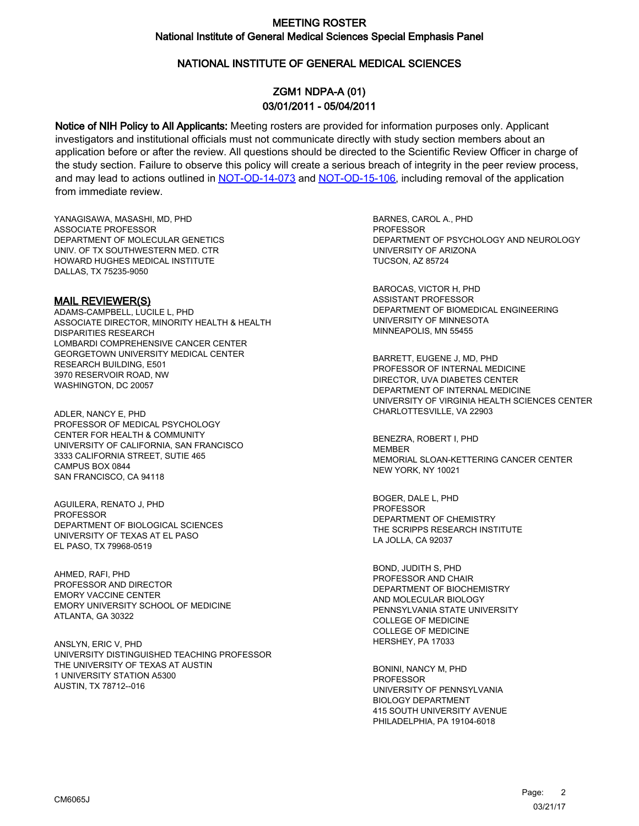### NATIONAL INSTITUTE OF GENERAL MEDICAL SCIENCES

# ZGM1 NDPA-A (01) 03/01/2011 - 05/04/2011

Notice of NIH Policy to All Applicants: Meeting rosters are provided for information purposes only. Applicant investigators and institutional officials must not communicate directly with study section members about an application before or after the review. All questions should be directed to the Scientific Review Officer in charge of the study section. Failure to observe this policy will create a serious breach of integrity in the peer review process, and may lead to actions outlined in [NOT-OD-14-073](https://grants.nih.gov/grants/guide/notice-files/NOT-OD-14-073.html) and [NOT-OD-15-106,](https://grants.nih.gov/grants/guide/notice-files/NOT-OD-15-106.html) including removal of the application from immediate review.

YANAGISAWA, MASASHI, MD, PHD ASSOCIATE PROFESSOR DEPARTMENT OF MOLECULAR GENETICS UNIV. OF TX SOUTHWESTERN MED. CTR HOWARD HUGHES MEDICAL INSTITUTE DALLAS, TX 75235-9050

#### MAIL REVIEWER(S)

ADAMS-CAMPBELL, LUCILE L, PHD ASSOCIATE DIRECTOR, MINORITY HEALTH & HEALTH DISPARITIES RESEARCH LOMBARDI COMPREHENSIVE CANCER CENTER GEORGETOWN UNIVERSITY MEDICAL CENTER RESEARCH BUILDING, E501 3970 RESERVOIR ROAD, NW WASHINGTON, DC 20057

ADLER, NANCY E, PHD PROFESSOR OF MEDICAL PSYCHOLOGY CENTER FOR HEALTH & COMMUNITY UNIVERSITY OF CALIFORNIA, SAN FRANCISCO 3333 CALIFORNIA STREET, SUTIE 465 CAMPUS BOX 0844 SAN FRANCISCO, CA 94118

AGUILERA, RENATO J, PHD PROFESSOR DEPARTMENT OF BIOLOGICAL SCIENCES UNIVERSITY OF TEXAS AT EL PASO EL PASO, TX 79968-0519

AHMED, RAFI, PHD PROFESSOR AND DIRECTOR EMORY VACCINE CENTER EMORY UNIVERSITY SCHOOL OF MEDICINE ATLANTA, GA 30322

ANSLYN, ERIC V, PHD UNIVERSITY DISTINGUISHED TEACHING PROFESSOR THE UNIVERSITY OF TEXAS AT AUSTIN 1 UNIVERSITY STATION A5300 AUSTIN, TX 78712--016

BARNES, CAROL A., PHD **PROFESSOR** DEPARTMENT OF PSYCHOLOGY AND NEUROLOGY UNIVERSITY OF ARIZONA TUCSON, AZ 85724

BAROCAS, VICTOR H, PHD ASSISTANT PROFESSOR DEPARTMENT OF BIOMEDICAL ENGINEERING UNIVERSITY OF MINNESOTA MINNEAPOLIS, MN 55455

BARRETT, EUGENE J, MD, PHD PROFESSOR OF INTERNAL MEDICINE DIRECTOR, UVA DIABETES CENTER DEPARTMENT OF INTERNAL MEDICINE UNIVERSITY OF VIRGINIA HEALTH SCIENCES CENTER CHARLOTTESVILLE, VA 22903

BENEZRA, ROBERT I, PHD MEMBER MEMORIAL SLOAN-KETTERING CANCER CENTER NEW YORK, NY 10021

BOGER, DALE L, PHD PROFESSOR DEPARTMENT OF CHEMISTRY THE SCRIPPS RESEARCH INSTITUTE LA JOLLA, CA 92037

BOND, JUDITH S, PHD PROFESSOR AND CHAIR DEPARTMENT OF BIOCHEMISTRY AND MOLECULAR BIOLOGY PENNSYLVANIA STATE UNIVERSITY COLLEGE OF MEDICINE COLLEGE OF MEDICINE HERSHEY, PA 17033

BONINI, NANCY M, PHD PROFESSOR UNIVERSITY OF PENNSYLVANIA BIOLOGY DEPARTMENT 415 SOUTH UNIVERSITY AVENUE PHILADELPHIA, PA 19104-6018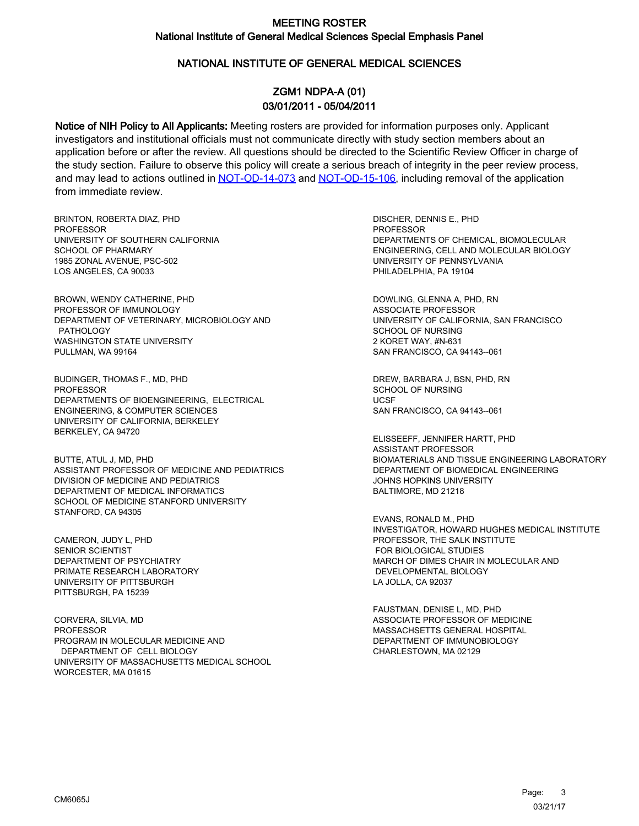#### NATIONAL INSTITUTE OF GENERAL MEDICAL SCIENCES

# ZGM1 NDPA-A (01) 03/01/2011 - 05/04/2011

Notice of NIH Policy to All Applicants: Meeting rosters are provided for information purposes only. Applicant investigators and institutional officials must not communicate directly with study section members about an application before or after the review. All questions should be directed to the Scientific Review Officer in charge of the study section. Failure to observe this policy will create a serious breach of integrity in the peer review process, and may lead to actions outlined in [NOT-OD-14-073](https://grants.nih.gov/grants/guide/notice-files/NOT-OD-14-073.html) and [NOT-OD-15-106,](https://grants.nih.gov/grants/guide/notice-files/NOT-OD-15-106.html) including removal of the application from immediate review.

BRINTON, ROBERTA DIAZ, PHD **PROFESSOR** UNIVERSITY OF SOUTHERN CALIFORNIA SCHOOL OF PHARMARY 1985 ZONAL AVENUE, PSC-502 LOS ANGELES, CA 90033

BROWN, WENDY CATHERINE, PHD PROFESSOR OF IMMUNOLOGY DEPARTMENT OF VETERINARY, MICROBIOLOGY AND PATHOLOGY WASHINGTON STATE UNIVERSITY PULLMAN, WA 99164

BUDINGER, THOMAS F., MD, PHD **PROFESSOR** DEPARTMENTS OF BIOENGINEERING, ELECTRICAL ENGINEERING, & COMPUTER SCIENCES UNIVERSITY OF CALIFORNIA, BERKELEY BERKELEY, CA 94720

BUTTE, ATUL J, MD, PHD ASSISTANT PROFESSOR OF MEDICINE AND PEDIATRICS DIVISION OF MEDICINE AND PEDIATRICS DEPARTMENT OF MEDICAL INFORMATICS SCHOOL OF MEDICINE STANFORD UNIVERSITY STANFORD, CA 94305

CAMERON, JUDY L, PHD SENIOR SCIENTIST DEPARTMENT OF PSYCHIATRY PRIMATE RESEARCH LABORATORY UNIVERSITY OF PITTSBURGH PITTSBURGH, PA 15239

CORVERA, SILVIA, MD PROFESSOR PROGRAM IN MOLECULAR MEDICINE AND DEPARTMENT OF CELL BIOLOGY UNIVERSITY OF MASSACHUSETTS MEDICAL SCHOOL WORCESTER, MA 01615

DISCHER, DENNIS E., PHD PROFESSOR DEPARTMENTS OF CHEMICAL, BIOMOLECULAR ENGINEERING, CELL AND MOLECULAR BIOLOGY UNIVERSITY OF PENNSYLVANIA PHILADELPHIA, PA 19104

DOWLING, GLENNA A, PHD, RN ASSOCIATE PROFESSOR UNIVERSITY OF CALIFORNIA, SAN FRANCISCO SCHOOL OF NURSING 2 KORET WAY, #N-631 SAN FRANCISCO, CA 94143--061

DREW, BARBARA J, BSN, PHD, RN SCHOOL OF NURSING **UCSE** SAN FRANCISCO, CA 94143--061

ELISSEEFF, JENNIFER HARTT, PHD ASSISTANT PROFESSOR BIOMATERIALS AND TISSUE ENGINEERING LABORATORY DEPARTMENT OF BIOMEDICAL ENGINEERING JOHNS HOPKINS UNIVERSITY BALTIMORE, MD 21218

EVANS, RONALD M., PHD INVESTIGATOR, HOWARD HUGHES MEDICAL INSTITUTE PROFESSOR, THE SALK INSTITUTE FOR BIOLOGICAL STUDIES MARCH OF DIMES CHAIR IN MOLECULAR AND DEVELOPMENTAL BIOLOGY LA JOLLA, CA 92037

FAUSTMAN, DENISE L, MD, PHD ASSOCIATE PROFESSOR OF MEDICINE MASSACHSETTS GENERAL HOSPITAL DEPARTMENT OF IMMUNOBIOLOGY CHARLESTOWN, MA 02129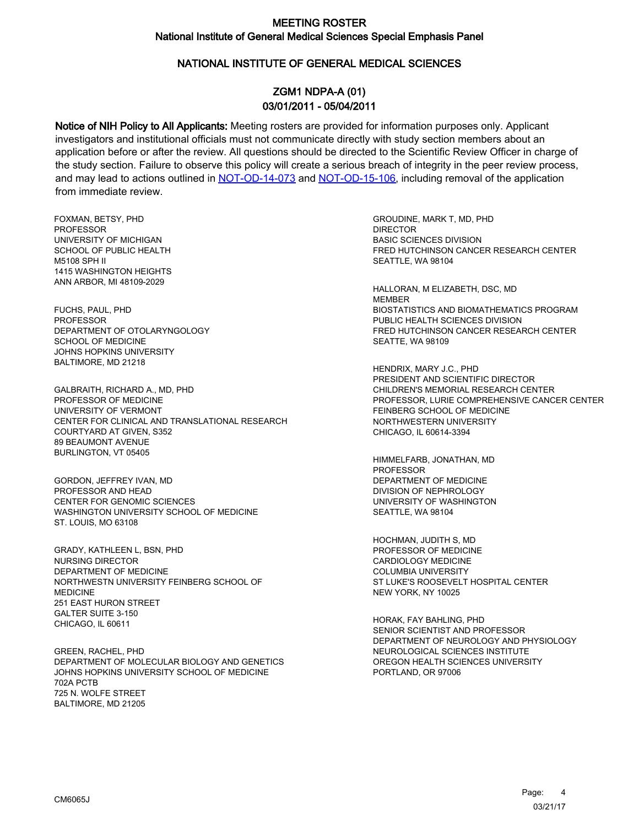### NATIONAL INSTITUTE OF GENERAL MEDICAL SCIENCES

# ZGM1 NDPA-A (01) 03/01/2011 - 05/04/2011

Notice of NIH Policy to All Applicants: Meeting rosters are provided for information purposes only. Applicant investigators and institutional officials must not communicate directly with study section members about an application before or after the review. All questions should be directed to the Scientific Review Officer in charge of the study section. Failure to observe this policy will create a serious breach of integrity in the peer review process, and may lead to actions outlined in [NOT-OD-14-073](https://grants.nih.gov/grants/guide/notice-files/NOT-OD-14-073.html) and [NOT-OD-15-106,](https://grants.nih.gov/grants/guide/notice-files/NOT-OD-15-106.html) including removal of the application from immediate review.

FOXMAN, BETSY, PHD PROFESSOR UNIVERSITY OF MICHIGAN SCHOOL OF PUBLIC HEALTH M5108 SPH II 1415 WASHINGTON HEIGHTS ANN ARBOR, MI 48109-2029

FUCHS, PAUL, PHD PROFESSOR DEPARTMENT OF OTOLARYNGOLOGY SCHOOL OF MEDICINE JOHNS HOPKINS UNIVERSITY BALTIMORE, MD 21218

GALBRAITH, RICHARD A., MD, PHD PROFESSOR OF MEDICINE UNIVERSITY OF VERMONT CENTER FOR CLINICAL AND TRANSLATIONAL RESEARCH COURTYARD AT GIVEN, S352 89 BEAUMONT AVENUE BURLINGTON, VT 05405

GORDON, JEFFREY IVAN, MD PROFESSOR AND HEAD CENTER FOR GENOMIC SCIENCES WASHINGTON UNIVERSITY SCHOOL OF MEDICINE ST. LOUIS, MO 63108

GRADY, KATHLEEN L, BSN, PHD NURSING DIRECTOR DEPARTMENT OF MEDICINE NORTHWESTN UNIVERSITY FEINBERG SCHOOL OF MEDICINE 251 EAST HURON STREET GALTER SUITE 3-150 CHICAGO, IL 60611

GREEN, RACHEL, PHD DEPARTMENT OF MOLECULAR BIOLOGY AND GENETICS JOHNS HOPKINS UNIVERSITY SCHOOL OF MEDICINE 702A PCTB 725 N. WOLFE STREET BALTIMORE, MD 21205

GROUDINE, MARK T, MD, PHD **DIRECTOR** BASIC SCIENCES DIVISION FRED HUTCHINSON CANCER RESEARCH CENTER SEATTLE, WA 98104

HALLORAN, M ELIZABETH, DSC, MD MEMBER BIOSTATISTICS AND BIOMATHEMATICS PROGRAM PUBLIC HEALTH SCIENCES DIVISION FRED HUTCHINSON CANCER RESEARCH CENTER SEATTE, WA 98109

HENDRIX, MARY J.C., PHD PRESIDENT AND SCIENTIFIC DIRECTOR CHILDREN'S MEMORIAL RESEARCH CENTER PROFESSOR, LURIE COMPREHENSIVE CANCER CENTER FEINBERG SCHOOL OF MEDICINE NORTHWESTERN UNIVERSITY CHICAGO, IL 60614-3394

HIMMELFARB, JONATHAN, MD PROFESSOR DEPARTMENT OF MEDICINE DIVISION OF NEPHROLOGY UNIVERSITY OF WASHINGTON SEATTLE, WA 98104

HOCHMAN, JUDITH S, MD PROFESSOR OF MEDICINE CARDIOLOGY MEDICINE COLUMBIA UNIVERSITY ST LUKE'S ROOSEVELT HOSPITAL CENTER NEW YORK, NY 10025

HORAK, FAY BAHLING, PHD SENIOR SCIENTIST AND PROFESSOR DEPARTMENT OF NEUROLOGY AND PHYSIOLOGY NEUROLOGICAL SCIENCES INSTITUTE OREGON HEALTH SCIENCES UNIVERSITY PORTLAND, OR 97006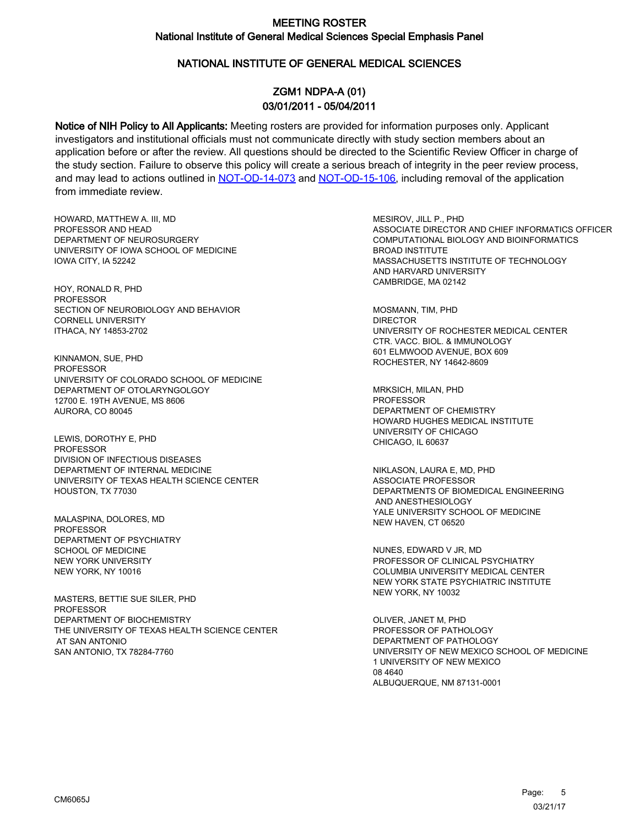### NATIONAL INSTITUTE OF GENERAL MEDICAL SCIENCES

# ZGM1 NDPA-A (01) 03/01/2011 - 05/04/2011

Notice of NIH Policy to All Applicants: Meeting rosters are provided for information purposes only. Applicant investigators and institutional officials must not communicate directly with study section members about an application before or after the review. All questions should be directed to the Scientific Review Officer in charge of the study section. Failure to observe this policy will create a serious breach of integrity in the peer review process, and may lead to actions outlined in [NOT-OD-14-073](https://grants.nih.gov/grants/guide/notice-files/NOT-OD-14-073.html) and [NOT-OD-15-106,](https://grants.nih.gov/grants/guide/notice-files/NOT-OD-15-106.html) including removal of the application from immediate review.

HOWARD, MATTHEW A. III, MD PROFESSOR AND HEAD DEPARTMENT OF NEUROSURGERY UNIVERSITY OF IOWA SCHOOL OF MEDICINE IOWA CITY, IA 52242

HOY, RONALD R, PHD PROFESSOR SECTION OF NEUROBIOLOGY AND BEHAVIOR CORNELL UNIVERSITY ITHACA, NY 14853-2702

KINNAMON, SUE, PHD PROFESSOR UNIVERSITY OF COLORADO SCHOOL OF MEDICINE DEPARTMENT OF OTOLARYNGOLGOY 12700 E. 19TH AVENUE, MS 8606 AURORA, CO 80045

LEWIS, DOROTHY E, PHD PROFESSOR DIVISION OF INFECTIOUS DISEASES DEPARTMENT OF INTERNAL MEDICINE UNIVERSITY OF TEXAS HEALTH SCIENCE CENTER HOUSTON, TX 77030

MALASPINA, DOLORES, MD PROFESSOR DEPARTMENT OF PSYCHIATRY SCHOOL OF MEDICINE NEW YORK UNIVERSITY NEW YORK, NY 10016

MASTERS, BETTIE SUE SILER, PHD **PROFESSOR** DEPARTMENT OF BIOCHEMISTRY THE UNIVERSITY OF TEXAS HEALTH SCIENCE CENTER AT SAN ANTONIO SAN ANTONIO, TX 78284-7760

MESIROV, JILL P., PHD ASSOCIATE DIRECTOR AND CHIEF INFORMATICS OFFICER COMPUTATIONAL BIOLOGY AND BIOINFORMATICS BROAD INSTITUTE MASSACHUSETTS INSTITUTE OF TECHNOLOGY AND HARVARD UNIVERSITY CAMBRIDGE, MA 02142

MOSMANN, TIM, PHD DIRECTOR UNIVERSITY OF ROCHESTER MEDICAL CENTER CTR. VACC. BIOL. & IMMUNOLOGY 601 ELMWOOD AVENUE, BOX 609 ROCHESTER, NY 14642-8609

MRKSICH, MILAN, PHD **PROFESSOR** DEPARTMENT OF CHEMISTRY HOWARD HUGHES MEDICAL INSTITUTE UNIVERSITY OF CHICAGO CHICAGO, IL 60637

NIKLASON, LAURA E, MD, PHD ASSOCIATE PROFESSOR DEPARTMENTS OF BIOMEDICAL ENGINEERING AND ANESTHESIOLOGY YALE UNIVERSITY SCHOOL OF MEDICINE NEW HAVEN, CT 06520

NUNES, EDWARD V JR, MD PROFESSOR OF CLINICAL PSYCHIATRY COLUMBIA UNIVERSITY MEDICAL CENTER NEW YORK STATE PSYCHIATRIC INSTITUTE NEW YORK, NY 10032

OLIVER, JANET M, PHD PROFESSOR OF PATHOLOGY DEPARTMENT OF PATHOLOGY UNIVERSITY OF NEW MEXICO SCHOOL OF MEDICINE 1 UNIVERSITY OF NEW MEXICO 08 4640 ALBUQUERQUE, NM 87131-0001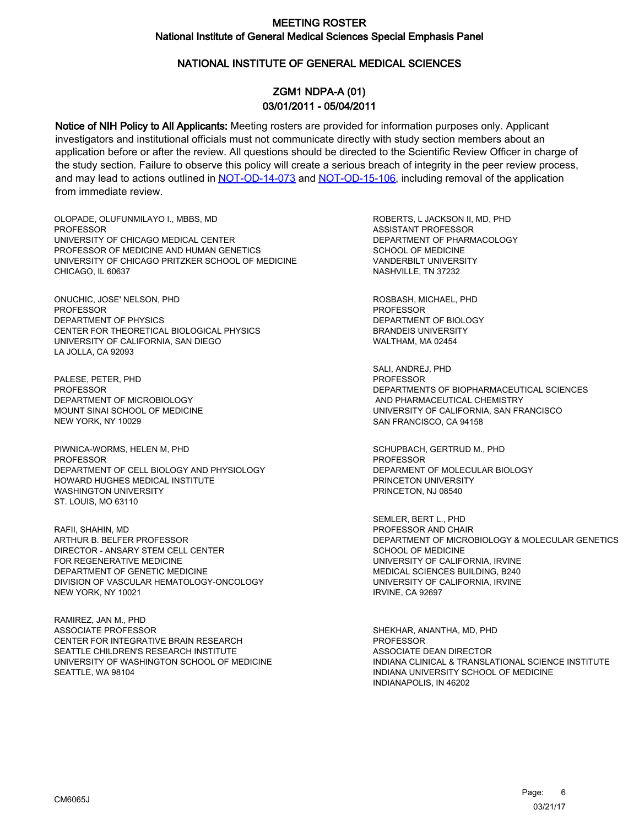### NATIONAL INSTITUTE OF GENERAL MEDICAL SCIENCES

# ZGM1 NDPA-A (01) 03/01/2011 - 05/04/2011

Notice of NIH Policy to All Applicants: Meeting rosters are provided for information purposes only. Applicant investigators and institutional officials must not communicate directly with study section members about an application before or after the review. All questions should be directed to the Scientific Review Officer in charge of the study section. Failure to observe this policy will create a serious breach of integrity in the peer review process, and may lead to actions outlined in [NOT-OD-14-073](https://grants.nih.gov/grants/guide/notice-files/NOT-OD-14-073.html) and [NOT-OD-15-106,](https://grants.nih.gov/grants/guide/notice-files/NOT-OD-15-106.html) including removal of the application from immediate review.

OLOPADE, OLUFUNMILAYO I., MBBS, MD **PROFESSOR** UNIVERSITY OF CHICAGO MEDICAL CENTER PROFESSOR OF MEDICINE AND HUMAN GENETICS UNIVERSITY OF CHICAGO PRITZKER SCHOOL OF MEDICINE CHICAGO, IL 60637

ONUCHIC, JOSE' NELSON, PHD PROFESSOR DEPARTMENT OF PHYSICS CENTER FOR THEORETICAL BIOLOGICAL PHYSICS UNIVERSITY OF CALIFORNIA, SAN DIEGO LA JOLLA, CA 92093

PALESE, PETER, PHD **PROFESSOR** DEPARTMENT OF MICROBIOLOGY MOUNT SINAI SCHOOL OF MEDICINE NEW YORK, NY 10029

PIWNICA-WORMS, HELEN M, PHD PROFESSOR DEPARTMENT OF CELL BIOLOGY AND PHYSIOLOGY HOWARD HUGHES MEDICAL INSTITUTE WASHINGTON UNIVERSITY ST. LOUIS, MO 63110

RAFII, SHAHIN, MD ARTHUR B. BELFER PROFESSOR DIRECTOR - ANSARY STEM CELL CENTER FOR REGENERATIVE MEDICINE DEPARTMENT OF GENETIC MEDICINE DIVISION OF VASCULAR HEMATOLOGY-ONCOLOGY NEW YORK, NY 10021

RAMIREZ, JAN M., PHD ASSOCIATE PROFESSOR CENTER FOR INTEGRATIVE BRAIN RESEARCH SEATTLE CHILDREN'S RESEARCH INSTITUTE UNIVERSITY OF WASHINGTON SCHOOL OF MEDICINE SEATTLE, WA 98104

ROBERTS, L JACKSON II, MD, PHD ASSISTANT PROFESSOR DEPARTMENT OF PHARMACOLOGY SCHOOL OF MEDICINE VANDERBILT UNIVERSITY NASHVILLE, TN 37232

ROSBASH, MICHAEL, PHD PROFESSOR DEPARTMENT OF BIOLOGY BRANDEIS UNIVERSITY WALTHAM, MA 02454

SALI, ANDREJ, PHD PROFESSOR DEPARTMENTS OF BIOPHARMACEUTICAL SCIENCES AND PHARMACEUTICAL CHEMISTRY UNIVERSITY OF CALIFORNIA, SAN FRANCISCO SAN FRANCISCO, CA 94158

SCHUPBACH, GERTRUD M., PHD PROFESSOR DEPARMENT OF MOLECULAR BIOLOGY PRINCETON UNIVERSITY PRINCETON, NJ 08540

SEMLER, BERT L., PHD PROFESSOR AND CHAIR DEPARTMENT OF MICROBIOLOGY & MOLECULAR GENETICS SCHOOL OF MEDICINE UNIVERSITY OF CALIFORNIA, IRVINE MEDICAL SCIENCES BUILDING, B240 UNIVERSITY OF CALIFORNIA, IRVINE IRVINE, CA 92697

SHEKHAR, ANANTHA, MD, PHD PROFESSOR ASSOCIATE DEAN DIRECTOR INDIANA CLINICAL & TRANSLATIONAL SCIENCE INSTITUTE INDIANA UNIVERSITY SCHOOL OF MEDICINE INDIANAPOLIS, IN 46202